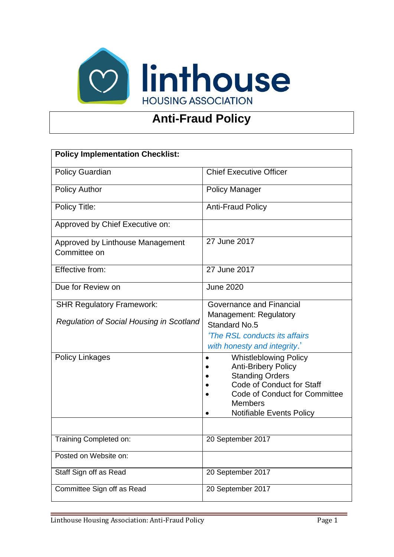

# **Anti-Fraud Policy**

| <b>Policy Implementation Checklist:</b>          |                                                            |  |
|--------------------------------------------------|------------------------------------------------------------|--|
|                                                  |                                                            |  |
| <b>Policy Guardian</b>                           | <b>Chief Executive Officer</b>                             |  |
| <b>Policy Author</b>                             | <b>Policy Manager</b>                                      |  |
| Policy Title:                                    | <b>Anti-Fraud Policy</b>                                   |  |
| Approved by Chief Executive on:                  |                                                            |  |
| Approved by Linthouse Management<br>Committee on | 27 June 2017                                               |  |
| Effective from:                                  | 27 June 2017                                               |  |
| Due for Review on                                | <b>June 2020</b>                                           |  |
| <b>SHR Regulatory Framework:</b>                 | Governance and Financial                                   |  |
| <b>Regulation of Social Housing in Scotland</b>  | <b>Management: Regulatory</b><br><b>Standard No.5</b>      |  |
|                                                  | 'The RSL conducts its affairs                              |  |
|                                                  | with honesty and integrity.'                               |  |
| <b>Policy Linkages</b>                           | <b>Whistleblowing Policy</b><br><b>Anti-Bribery Policy</b> |  |
|                                                  | <b>Standing Orders</b>                                     |  |
|                                                  | <b>Code of Conduct for Staff</b>                           |  |
|                                                  | <b>Code of Conduct for Committee</b>                       |  |
|                                                  | <b>Members</b>                                             |  |
|                                                  | <b>Notifiable Events Policy</b>                            |  |
|                                                  |                                                            |  |
| Training Completed on:                           | 20 September 2017                                          |  |
| Posted on Website on:                            |                                                            |  |
| Staff Sign off as Read                           | 20 September 2017                                          |  |
| Committee Sign off as Read                       | 20 September 2017                                          |  |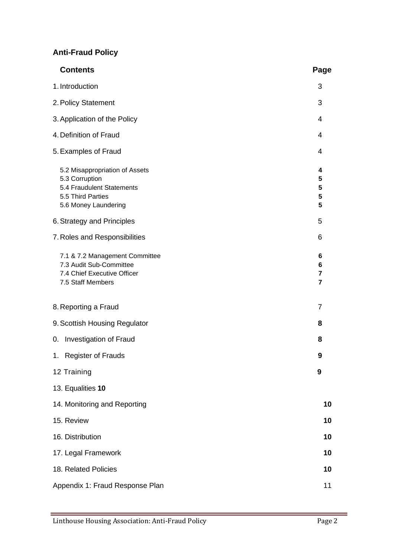## **Anti-Fraud Policy**

| <b>Contents</b>                                                                                                            | Page                          |
|----------------------------------------------------------------------------------------------------------------------------|-------------------------------|
| 1. Introduction                                                                                                            | 3                             |
| 2. Policy Statement                                                                                                        | 3                             |
| 3. Application of the Policy                                                                                               | 4                             |
| 4. Definition of Fraud                                                                                                     | 4                             |
| 5. Examples of Fraud                                                                                                       | 4                             |
| 5.2 Misappropriation of Assets<br>5.3 Corruption<br>5.4 Fraudulent Statements<br>5.5 Third Parties<br>5.6 Money Laundering | 4<br>5<br>5<br>5<br>5         |
| 6. Strategy and Principles                                                                                                 | 5                             |
| 7. Roles and Responsibilities                                                                                              | 6                             |
| 7.1 & 7.2 Management Committee<br>7.3 Audit Sub-Committee<br>7.4 Chief Executive Officer<br>7.5 Staff Members              | 6<br>6<br>7<br>$\overline{7}$ |
| 8. Reporting a Fraud                                                                                                       | 7                             |
| 9. Scottish Housing Regulator                                                                                              | 8                             |
| Investigation of Fraud<br>0.                                                                                               | 8                             |
| 1. Register of Frauds                                                                                                      | 9                             |
| 12 Training                                                                                                                | 9                             |
| 13. Equalities 10                                                                                                          |                               |
| 14. Monitoring and Reporting                                                                                               | 10                            |
| 15. Review                                                                                                                 | 10                            |
| 16. Distribution                                                                                                           | 10                            |
| 17. Legal Framework                                                                                                        | 10                            |
| 18. Related Policies                                                                                                       | 10                            |
| Appendix 1: Fraud Response Plan                                                                                            | 11                            |

Ξ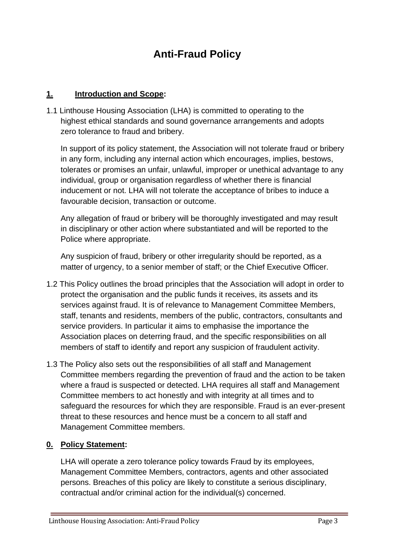# **Anti-Fraud Policy**

#### **1. Introduction and Scope:**

1.1 Linthouse Housing Association (LHA) is committed to operating to the highest ethical standards and sound governance arrangements and adopts zero tolerance to fraud and bribery.

In support of its policy statement, the Association will not tolerate fraud or bribery in any form, including any internal action which encourages, implies, bestows, tolerates or promises an unfair, unlawful, improper or unethical advantage to any individual, group or organisation regardless of whether there is financial inducement or not. LHA will not tolerate the acceptance of bribes to induce a favourable decision, transaction or outcome.

Any allegation of fraud or bribery will be thoroughly investigated and may result in disciplinary or other action where substantiated and will be reported to the Police where appropriate.

Any suspicion of fraud, bribery or other irregularity should be reported, as a matter of urgency, to a senior member of staff; or the Chief Executive Officer.

- 1.2 This Policy outlines the broad principles that the Association will adopt in order to protect the organisation and the public funds it receives, its assets and its services against fraud. It is of relevance to Management Committee Members, staff, tenants and residents, members of the public, contractors, consultants and service providers. In particular it aims to emphasise the importance the Association places on deterring fraud, and the specific responsibilities on all members of staff to identify and report any suspicion of fraudulent activity.
- 1.3 The Policy also sets out the responsibilities of all staff and Management Committee members regarding the prevention of fraud and the action to be taken where a fraud is suspected or detected. LHA requires all staff and Management Committee members to act honestly and with integrity at all times and to safeguard the resources for which they are responsible. Fraud is an ever-present threat to these resources and hence must be a concern to all staff and Management Committee members.

## **0. Policy Statement:**

LHA will operate a zero tolerance policy towards Fraud by its employees, Management Committee Members, contractors, agents and other associated persons. Breaches of this policy are likely to constitute a serious disciplinary, contractual and/or criminal action for the individual(s) concerned.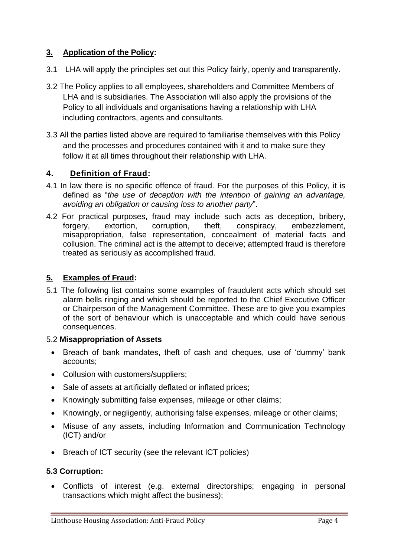## **3. Application of the Policy:**

- 3.1 LHA will apply the principles set out this Policy fairly, openly and transparently.
- 3.2 The Policy applies to all employees, shareholders and Committee Members of LHA and is subsidiaries. The Association will also apply the provisions of the Policy to all individuals and organisations having a relationship with LHA including contractors, agents and consultants.
- 3.3 All the parties listed above are required to familiarise themselves with this Policy and the processes and procedures contained with it and to make sure they follow it at all times throughout their relationship with LHA.

## **4. Definition of Fraud:**

- 4.1 In law there is no specific offence of fraud. For the purposes of this Policy, it is defined as "*the use of deception with the intention of gaining an advantage, avoiding an obligation or causing loss to another party*".
- 4.2 For practical purposes, fraud may include such acts as deception, bribery, forgery, extortion, corruption, theft, conspiracy, embezzlement, misappropriation, false representation, concealment of material facts and collusion. The criminal act is the attempt to deceive; attempted fraud is therefore treated as seriously as accomplished fraud.

## **5. Examples of Fraud:**

5.1 The following list contains some examples of fraudulent acts which should set alarm bells ringing and which should be reported to the Chief Executive Officer or Chairperson of the Management Committee. These are to give you examples of the sort of behaviour which is unacceptable and which could have serious consequences.

## 5.2 **Misappropriation of Assets**

- Breach of bank mandates, theft of cash and cheques, use of 'dummy' bank accounts;
- Collusion with customers/suppliers;
- Sale of assets at artificially deflated or inflated prices:
- Knowingly submitting false expenses, mileage or other claims;
- Knowingly, or negligently, authorising false expenses, mileage or other claims;
- Misuse of any assets, including Information and Communication Technology (ICT) and/or
- Breach of ICT security (see the relevant ICT policies)

## **5.3 Corruption:**

• Conflicts of interest (e.g. external directorships; engaging in personal transactions which might affect the business);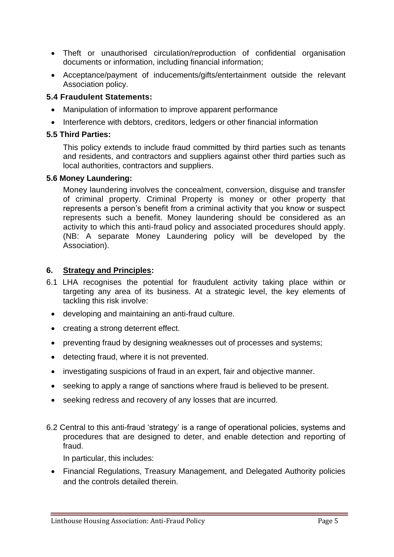- Theft or unauthorised circulation/reproduction of confidential organisation documents or information, including financial information;
- Acceptance/payment of inducements/gifts/entertainment outside the relevant Association policy.

#### **5.4 Fraudulent Statements:**

- Manipulation of information to improve apparent performance
- Interference with debtors, creditors, ledgers or other financial information

#### **5.5 Third Parties:**

This policy extends to include fraud committed by third parties such as tenants and residents, and contractors and suppliers against other third parties such as local authorities, contractors and suppliers.

#### **5.6 Money Laundering:**

Money laundering involves the concealment, conversion, disguise and transfer of criminal property. Criminal Property is money or other property that represents a person's benefit from a criminal activity that you know or suspect represents such a benefit. Money laundering should be considered as an activity to which this anti-fraud policy and associated procedures should apply. (NB: A separate Money Laundering policy will be developed by the Association).

#### **6. Strategy and Principles:**

- 6.1 LHA recognises the potential for fraudulent activity taking place within or targeting any area of its business. At a strategic level, the key elements of tackling this risk involve:
	- developing and maintaining an anti-fraud culture.
	- creating a strong deterrent effect.
	- preventing fraud by designing weaknesses out of processes and systems;
	- detecting fraud, where it is not prevented.
	- investigating suspicions of fraud in an expert, fair and objective manner.
	- seeking to apply a range of sanctions where fraud is believed to be present.
	- seeking redress and recovery of any losses that are incurred.
- 6.2 Central to this anti-fraud 'strategy' is a range of operational policies, systems and procedures that are designed to deter, and enable detection and reporting of fraud.

In particular, this includes:

• Financial Regulations, Treasury Management, and Delegated Authority policies and the controls detailed therein.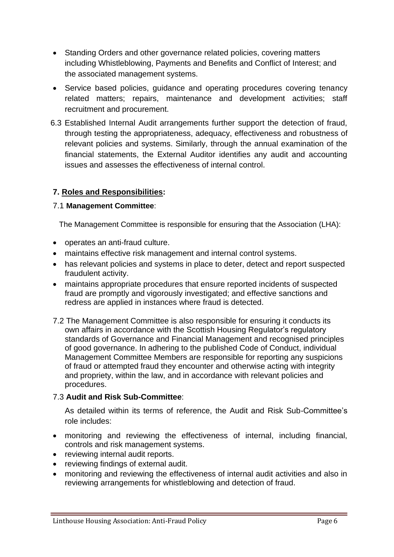- Standing Orders and other governance related policies, covering matters including Whistleblowing, Payments and Benefits and Conflict of Interest; and the associated management systems.
- Service based policies, guidance and operating procedures covering tenancy related matters; repairs, maintenance and development activities; staff recruitment and procurement.
- 6.3 Established Internal Audit arrangements further support the detection of fraud, through testing the appropriateness, adequacy, effectiveness and robustness of relevant policies and systems. Similarly, through the annual examination of the financial statements, the External Auditor identifies any audit and accounting issues and assesses the effectiveness of internal control.

#### **7. Roles and Responsibilities:**

#### 7.1 **Management Committee**:

The Management Committee is responsible for ensuring that the Association (LHA):

- operates an anti-fraud culture.
- maintains effective risk management and internal control systems.
- has relevant policies and systems in place to deter, detect and report suspected fraudulent activity.
- maintains appropriate procedures that ensure reported incidents of suspected fraud are promptly and vigorously investigated; and effective sanctions and redress are applied in instances where fraud is detected.
- 7.2 The Management Committee is also responsible for ensuring it conducts its own affairs in accordance with the Scottish Housing Regulator's regulatory standards of Governance and Financial Management and recognised principles of good governance. In adhering to the published Code of Conduct, individual Management Committee Members are responsible for reporting any suspicions of fraud or attempted fraud they encounter and otherwise acting with integrity and propriety, within the law, and in accordance with relevant policies and procedures.

#### 7.3 **Audit and Risk Sub-Committee**:

As detailed within its terms of reference, the Audit and Risk Sub-Committee's role includes:

- monitoring and reviewing the effectiveness of internal, including financial, controls and risk management systems.
- reviewing internal audit reports.
- reviewing findings of external audit.
- monitoring and reviewing the effectiveness of internal audit activities and also in reviewing arrangements for whistleblowing and detection of fraud.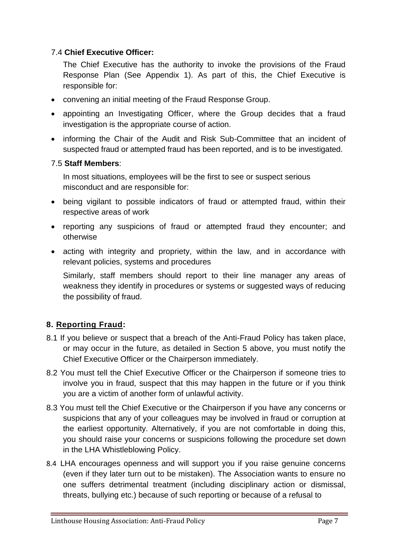## 7.4 **Chief Executive Officer:**

The Chief Executive has the authority to invoke the provisions of the Fraud Response Plan (See Appendix 1). As part of this, the Chief Executive is responsible for:

- convening an initial meeting of the Fraud Response Group.
- appointing an Investigating Officer, where the Group decides that a fraud investigation is the appropriate course of action.
- informing the Chair of the Audit and Risk Sub-Committee that an incident of suspected fraud or attempted fraud has been reported, and is to be investigated.

## 7.5 **Staff Members**:

In most situations, employees will be the first to see or suspect serious misconduct and are responsible for:

- being vigilant to possible indicators of fraud or attempted fraud, within their respective areas of work
- reporting any suspicions of fraud or attempted fraud they encounter; and otherwise
- acting with integrity and propriety, within the law, and in accordance with relevant policies, systems and procedures

Similarly, staff members should report to their line manager any areas of weakness they identify in procedures or systems or suggested ways of reducing the possibility of fraud.

## **8. Reporting Fraud:**

- 8.1 If you believe or suspect that a breach of the Anti-Fraud Policy has taken place, or may occur in the future, as detailed in Section 5 above, you must notify the Chief Executive Officer or the Chairperson immediately.
- 8.2 You must tell the Chief Executive Officer or the Chairperson if someone tries to involve you in fraud, suspect that this may happen in the future or if you think you are a victim of another form of unlawful activity.
- 8.3 You must tell the Chief Executive or the Chairperson if you have any concerns or suspicions that any of your colleagues may be involved in fraud or corruption at the earliest opportunity. Alternatively, if you are not comfortable in doing this, you should raise your concerns or suspicions following the procedure set down in the LHA Whistleblowing Policy.
- 8.4 LHA encourages openness and will support you if you raise genuine concerns (even if they later turn out to be mistaken). The Association wants to ensure no one suffers detrimental treatment (including disciplinary action or dismissal, threats, bullying etc.) because of such reporting or because of a refusal to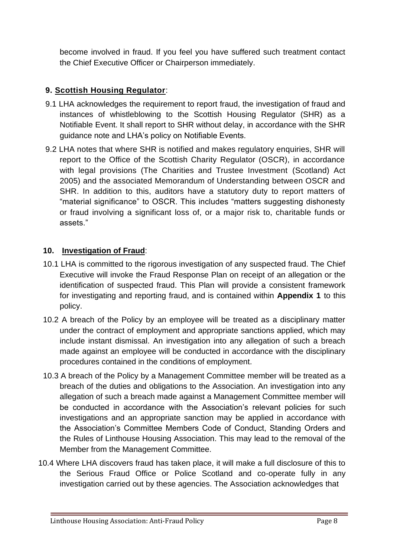become involved in fraud. If you feel you have suffered such treatment contact the Chief Executive Officer or Chairperson immediately.

## **9. Scottish Housing Regulator**:

- 9.1 LHA acknowledges the requirement to report fraud, the investigation of fraud and instances of whistleblowing to the Scottish Housing Regulator (SHR) as a Notifiable Event. It shall report to SHR without delay, in accordance with the SHR guidance note and LHA's policy on Notifiable Events.
- 9.2 LHA notes that where SHR is notified and makes regulatory enquiries, SHR will report to the Office of the Scottish Charity Regulator (OSCR), in accordance with legal provisions (The Charities and Trustee Investment (Scotland) Act 2005) and the associated Memorandum of Understanding between OSCR and SHR. In addition to this, auditors have a statutory duty to report matters of "material significance" to OSCR. This includes "matters suggesting dishonesty or fraud involving a significant loss of, or a major risk to, charitable funds or assets."

## **10. Investigation of Fraud**:

- 10.1 LHA is committed to the rigorous investigation of any suspected fraud. The Chief Executive will invoke the Fraud Response Plan on receipt of an allegation or the identification of suspected fraud. This Plan will provide a consistent framework for investigating and reporting fraud, and is contained within **Appendix 1** to this policy.
- 10.2 A breach of the Policy by an employee will be treated as a disciplinary matter under the contract of employment and appropriate sanctions applied, which may include instant dismissal. An investigation into any allegation of such a breach made against an employee will be conducted in accordance with the disciplinary procedures contained in the conditions of employment.
- 10.3 A breach of the Policy by a Management Committee member will be treated as a breach of the duties and obligations to the Association. An investigation into any allegation of such a breach made against a Management Committee member will be conducted in accordance with the Association's relevant policies for such investigations and an appropriate sanction may be applied in accordance with the Association's Committee Members Code of Conduct, Standing Orders and the Rules of Linthouse Housing Association. This may lead to the removal of the Member from the Management Committee.
- 10.4 Where LHA discovers fraud has taken place, it will make a full disclosure of this to the Serious Fraud Office or Police Scotland and co-operate fully in any investigation carried out by these agencies. The Association acknowledges that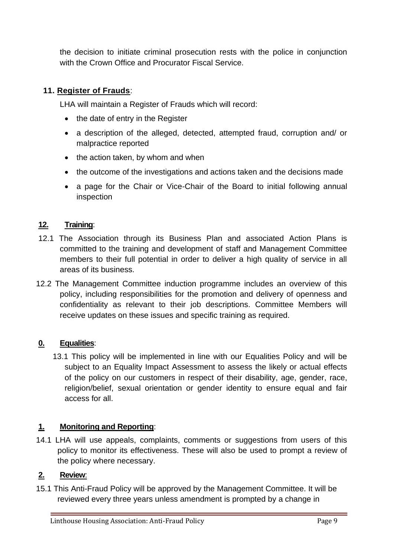the decision to initiate criminal prosecution rests with the police in conjunction with the Crown Office and Procurator Fiscal Service.

## **11. Register of Frauds**:

LHA will maintain a Register of Frauds which will record:

- the date of entry in the Register
- a description of the alleged, detected, attempted fraud, corruption and/ or malpractice reported
- the action taken, by whom and when
- the outcome of the investigations and actions taken and the decisions made
- a page for the Chair or Vice-Chair of the Board to initial following annual inspection

#### **12. Training**:

- 12.1 The Association through its Business Plan and associated Action Plans is committed to the training and development of staff and Management Committee members to their full potential in order to deliver a high quality of service in all areas of its business.
- 12.2 The Management Committee induction programme includes an overview of this policy, including responsibilities for the promotion and delivery of openness and confidentiality as relevant to their job descriptions. Committee Members will receive updates on these issues and specific training as required.

#### **0. Equalities**:

13.1 This policy will be implemented in line with our Equalities Policy and will be subject to an Equality Impact Assessment to assess the likely or actual effects of the policy on our customers in respect of their disability, age, gender, race, religion/belief, sexual orientation or gender identity to ensure equal and fair access for all.

#### **1. Monitoring and Reporting**:

14.1 LHA will use appeals, complaints, comments or suggestions from users of this policy to monitor its effectiveness. These will also be used to prompt a review of the policy where necessary.

## **2. Review**:

15.1 This Anti-Fraud Policy will be approved by the Management Committee. It will be reviewed every three years unless amendment is prompted by a change in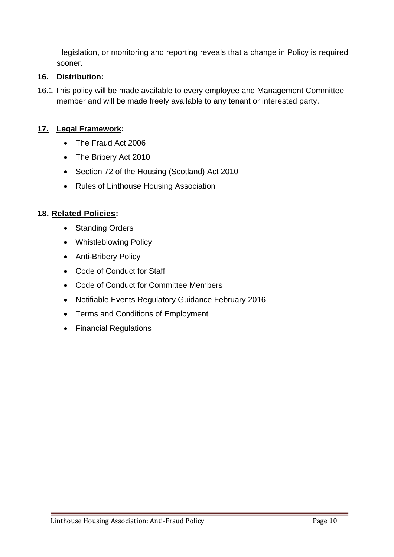legislation, or monitoring and reporting reveals that a change in Policy is required sooner.

#### **16. Distribution:**

16.1 This policy will be made available to every employee and Management Committee member and will be made freely available to any tenant or interested party.

#### **17. Legal Framework:**

- The Fraud Act 2006
- The Bribery Act 2010
- Section 72 of the Housing (Scotland) Act 2010
- Rules of Linthouse Housing Association

#### **18. Related Policies:**

- Standing Orders
- Whistleblowing Policy
- Anti-Bribery Policy
- Code of Conduct for Staff
- Code of Conduct for Committee Members
- Notifiable Events Regulatory Guidance February 2016
- Terms and Conditions of Employment
- Financial Regulations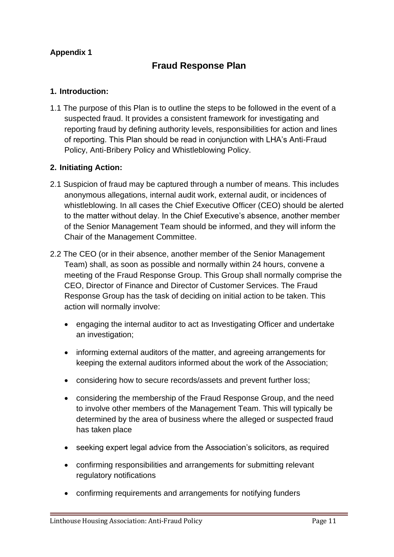## **Appendix 1**

## **Fraud Response Plan**

#### **1. Introduction:**

1.1 The purpose of this Plan is to outline the steps to be followed in the event of a suspected fraud. It provides a consistent framework for investigating and reporting fraud by defining authority levels, responsibilities for action and lines of reporting. This Plan should be read in conjunction with LHA's Anti-Fraud Policy, Anti-Bribery Policy and Whistleblowing Policy.

#### **2. Initiating Action:**

- 2.1 Suspicion of fraud may be captured through a number of means. This includes anonymous allegations, internal audit work, external audit, or incidences of whistleblowing. In all cases the Chief Executive Officer (CEO) should be alerted to the matter without delay. In the Chief Executive's absence, another member of the Senior Management Team should be informed, and they will inform the Chair of the Management Committee.
- 2.2 The CEO (or in their absence, another member of the Senior Management Team) shall, as soon as possible and normally within 24 hours, convene a meeting of the Fraud Response Group. This Group shall normally comprise the CEO, Director of Finance and Director of Customer Services. The Fraud Response Group has the task of deciding on initial action to be taken. This action will normally involve:
	- engaging the internal auditor to act as Investigating Officer and undertake an investigation;
	- informing external auditors of the matter, and agreeing arrangements for keeping the external auditors informed about the work of the Association;
	- considering how to secure records/assets and prevent further loss;
	- considering the membership of the Fraud Response Group, and the need to involve other members of the Management Team. This will typically be determined by the area of business where the alleged or suspected fraud has taken place
	- seeking expert legal advice from the Association's solicitors, as required
	- confirming responsibilities and arrangements for submitting relevant regulatory notifications
	- confirming requirements and arrangements for notifying funders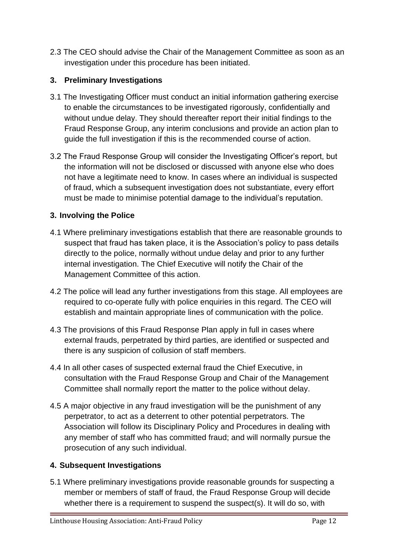2.3 The CEO should advise the Chair of the Management Committee as soon as an investigation under this procedure has been initiated.

## **3. Preliminary Investigations**

- 3.1 The Investigating Officer must conduct an initial information gathering exercise to enable the circumstances to be investigated rigorously, confidentially and without undue delay. They should thereafter report their initial findings to the Fraud Response Group, any interim conclusions and provide an action plan to guide the full investigation if this is the recommended course of action.
- 3.2 The Fraud Response Group will consider the Investigating Officer's report, but the information will not be disclosed or discussed with anyone else who does not have a legitimate need to know. In cases where an individual is suspected of fraud, which a subsequent investigation does not substantiate, every effort must be made to minimise potential damage to the individual's reputation.

#### **3. Involving the Police**

- 4.1 Where preliminary investigations establish that there are reasonable grounds to suspect that fraud has taken place, it is the Association's policy to pass details directly to the police, normally without undue delay and prior to any further internal investigation. The Chief Executive will notify the Chair of the Management Committee of this action.
- 4.2 The police will lead any further investigations from this stage. All employees are required to co-operate fully with police enquiries in this regard. The CEO will establish and maintain appropriate lines of communication with the police.
- 4.3 The provisions of this Fraud Response Plan apply in full in cases where external frauds, perpetrated by third parties, are identified or suspected and there is any suspicion of collusion of staff members.
- 4.4 In all other cases of suspected external fraud the Chief Executive, in consultation with the Fraud Response Group and Chair of the Management Committee shall normally report the matter to the police without delay.
- 4.5 A major objective in any fraud investigation will be the punishment of any perpetrator, to act as a deterrent to other potential perpetrators. The Association will follow its Disciplinary Policy and Procedures in dealing with any member of staff who has committed fraud; and will normally pursue the prosecution of any such individual.

#### **4. Subsequent Investigations**

5.1 Where preliminary investigations provide reasonable grounds for suspecting a member or members of staff of fraud, the Fraud Response Group will decide whether there is a requirement to suspend the suspect(s). It will do so, with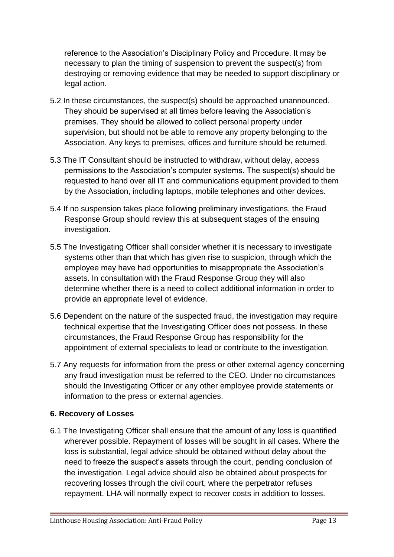reference to the Association's Disciplinary Policy and Procedure. It may be necessary to plan the timing of suspension to prevent the suspect(s) from destroying or removing evidence that may be needed to support disciplinary or legal action.

- 5.2 In these circumstances, the suspect(s) should be approached unannounced. They should be supervised at all times before leaving the Association's premises. They should be allowed to collect personal property under supervision, but should not be able to remove any property belonging to the Association. Any keys to premises, offices and furniture should be returned.
- 5.3 The IT Consultant should be instructed to withdraw, without delay, access permissions to the Association's computer systems. The suspect(s) should be requested to hand over all IT and communications equipment provided to them by the Association, including laptops, mobile telephones and other devices.
- 5.4 If no suspension takes place following preliminary investigations, the Fraud Response Group should review this at subsequent stages of the ensuing investigation.
- 5.5 The Investigating Officer shall consider whether it is necessary to investigate systems other than that which has given rise to suspicion, through which the employee may have had opportunities to misappropriate the Association's assets. In consultation with the Fraud Response Group they will also determine whether there is a need to collect additional information in order to provide an appropriate level of evidence.
- 5.6 Dependent on the nature of the suspected fraud, the investigation may require technical expertise that the Investigating Officer does not possess. In these circumstances, the Fraud Response Group has responsibility for the appointment of external specialists to lead or contribute to the investigation.
- 5.7 Any requests for information from the press or other external agency concerning any fraud investigation must be referred to the CEO. Under no circumstances should the Investigating Officer or any other employee provide statements or information to the press or external agencies.

## **6. Recovery of Losses**

6.1 The Investigating Officer shall ensure that the amount of any loss is quantified wherever possible. Repayment of losses will be sought in all cases. Where the loss is substantial, legal advice should be obtained without delay about the need to freeze the suspect's assets through the court, pending conclusion of the investigation. Legal advice should also be obtained about prospects for recovering losses through the civil court, where the perpetrator refuses repayment. LHA will normally expect to recover costs in addition to losses.